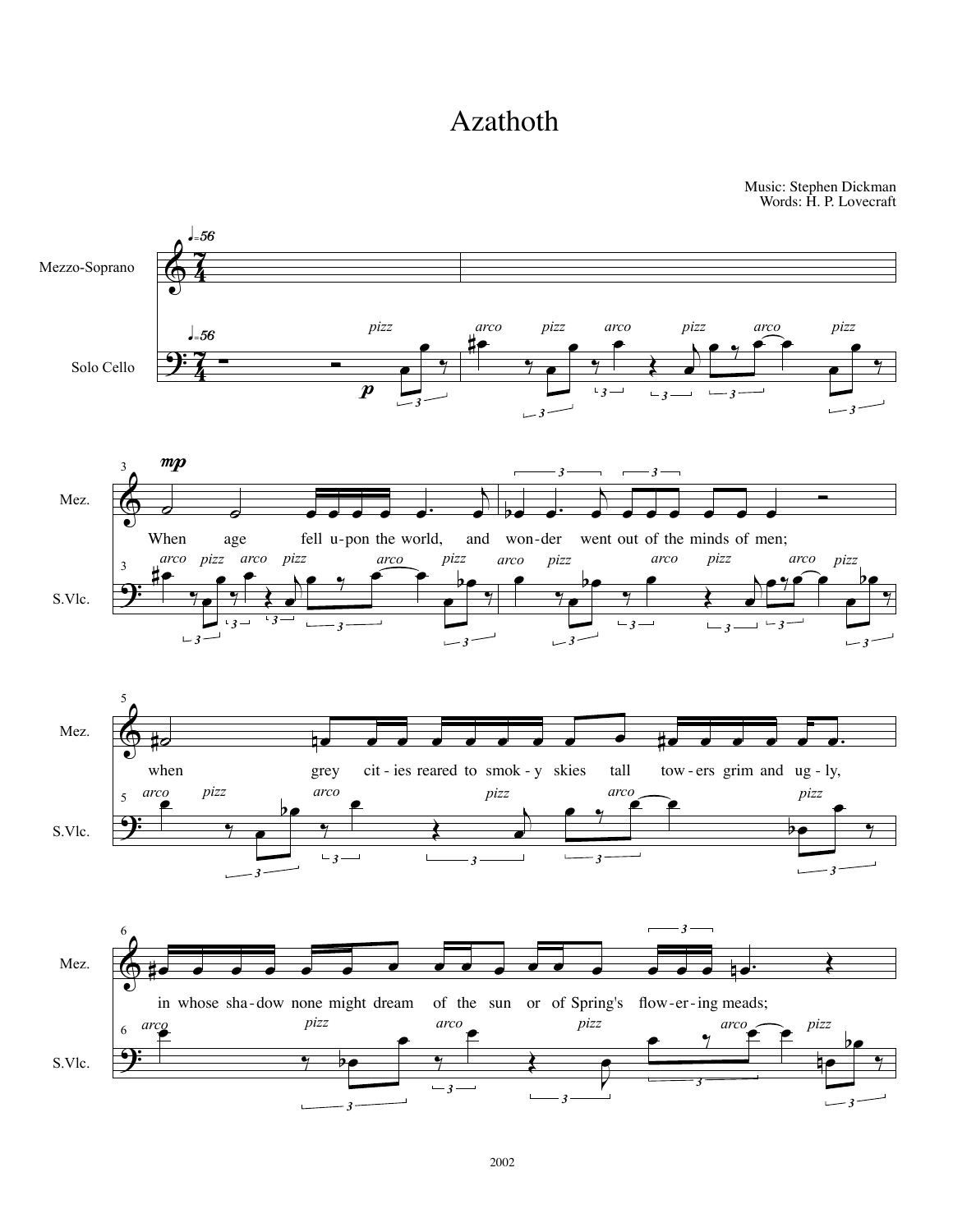## Azathoth

Music: Stephen Dickman Words: H. P. Lovecraft

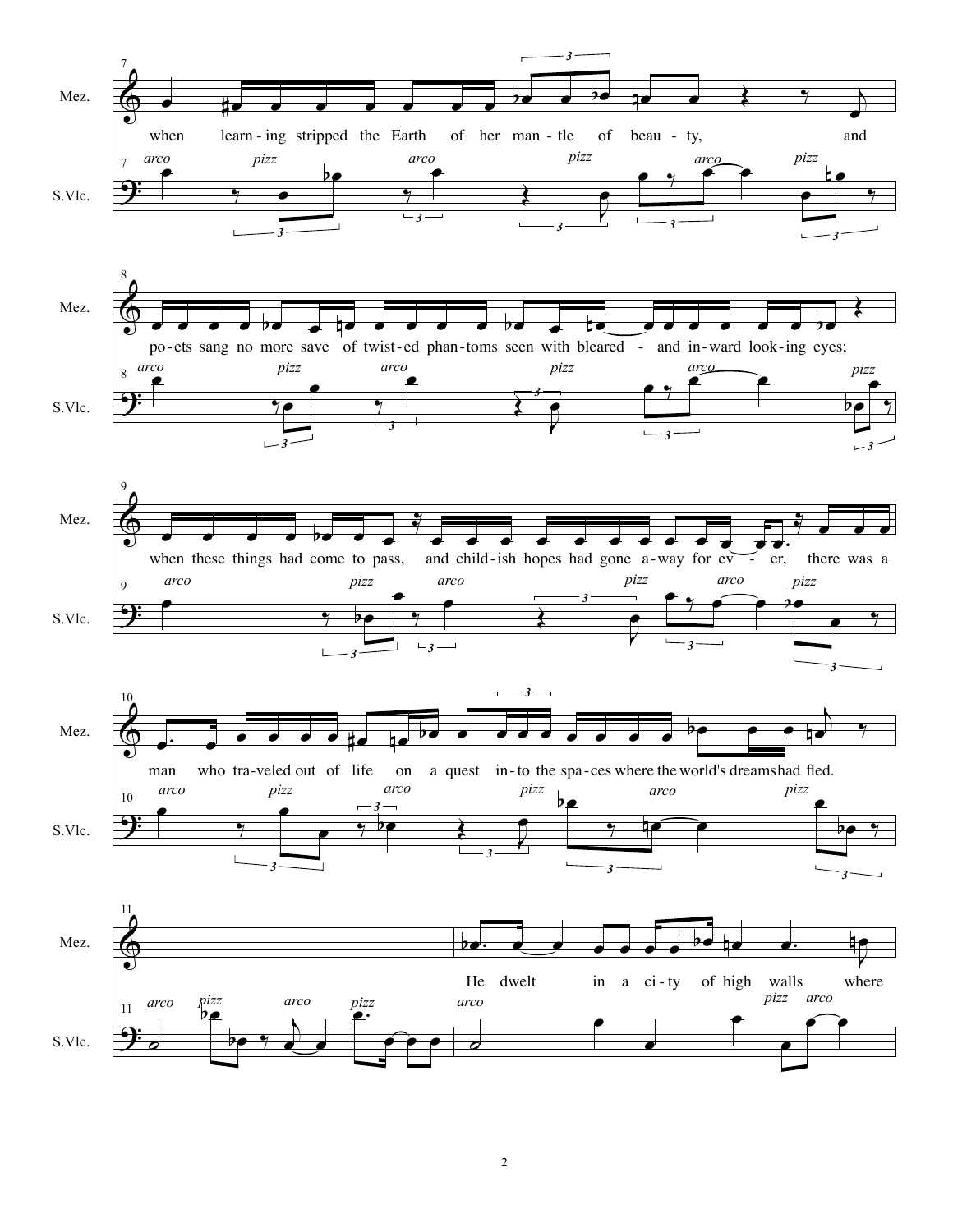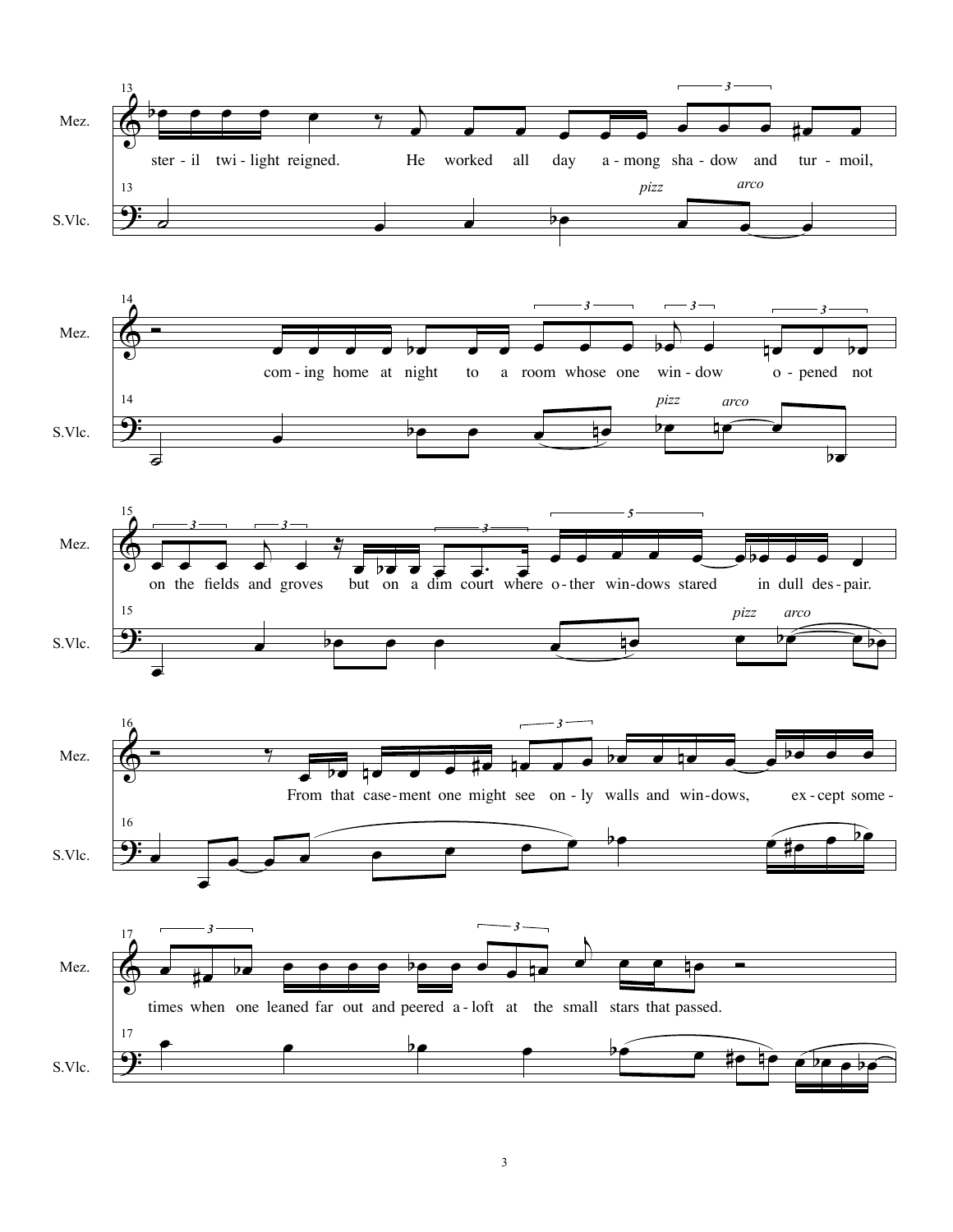









3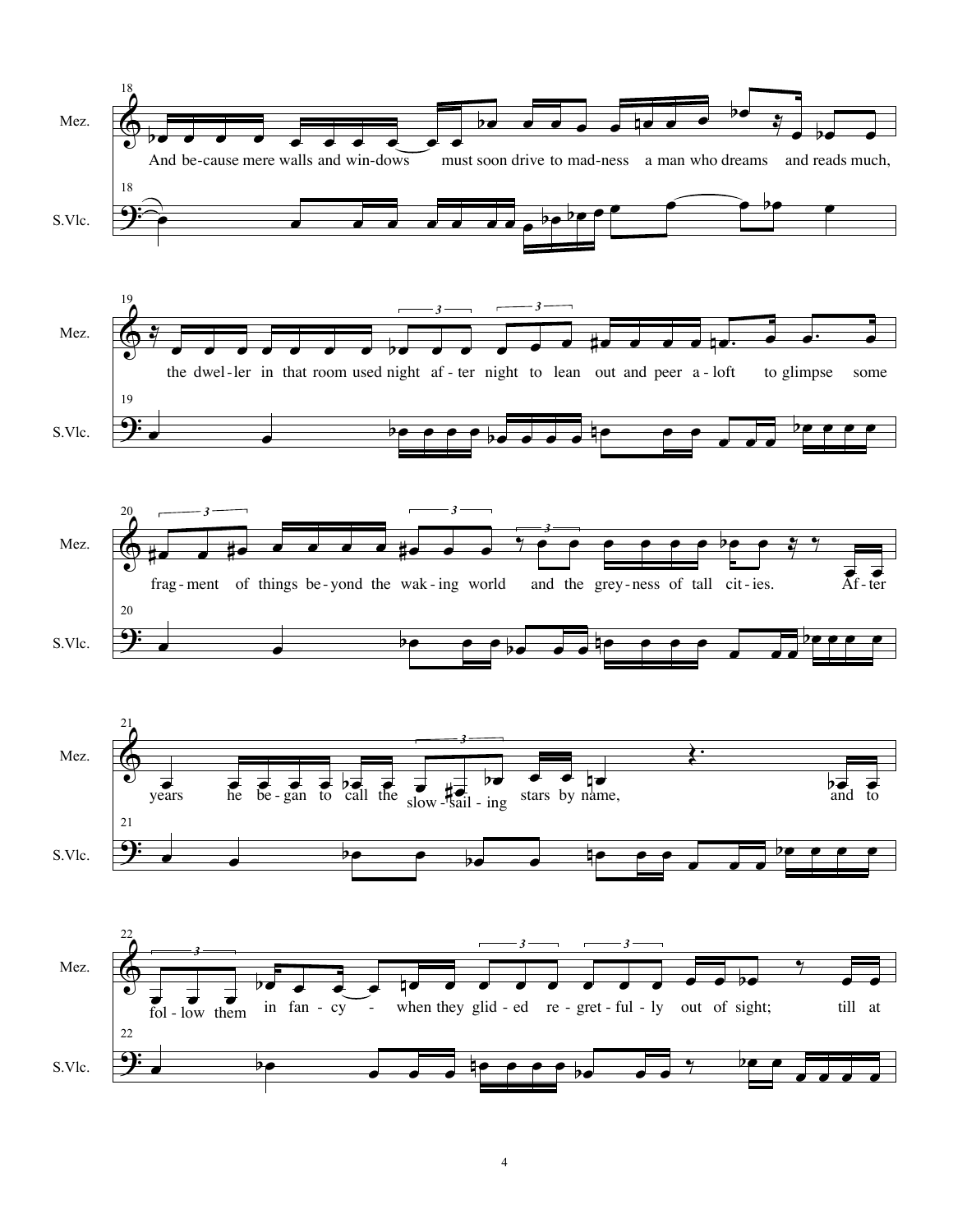







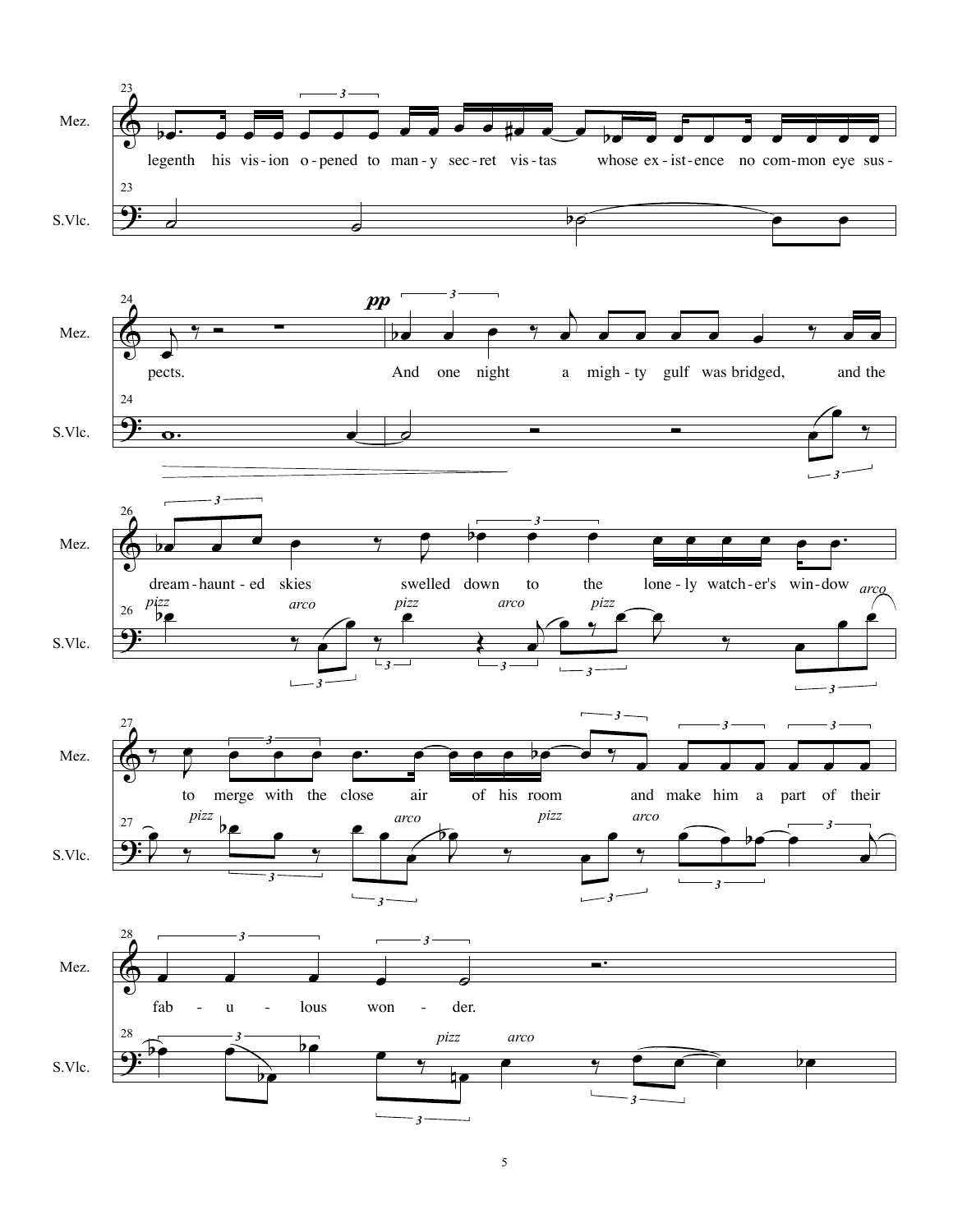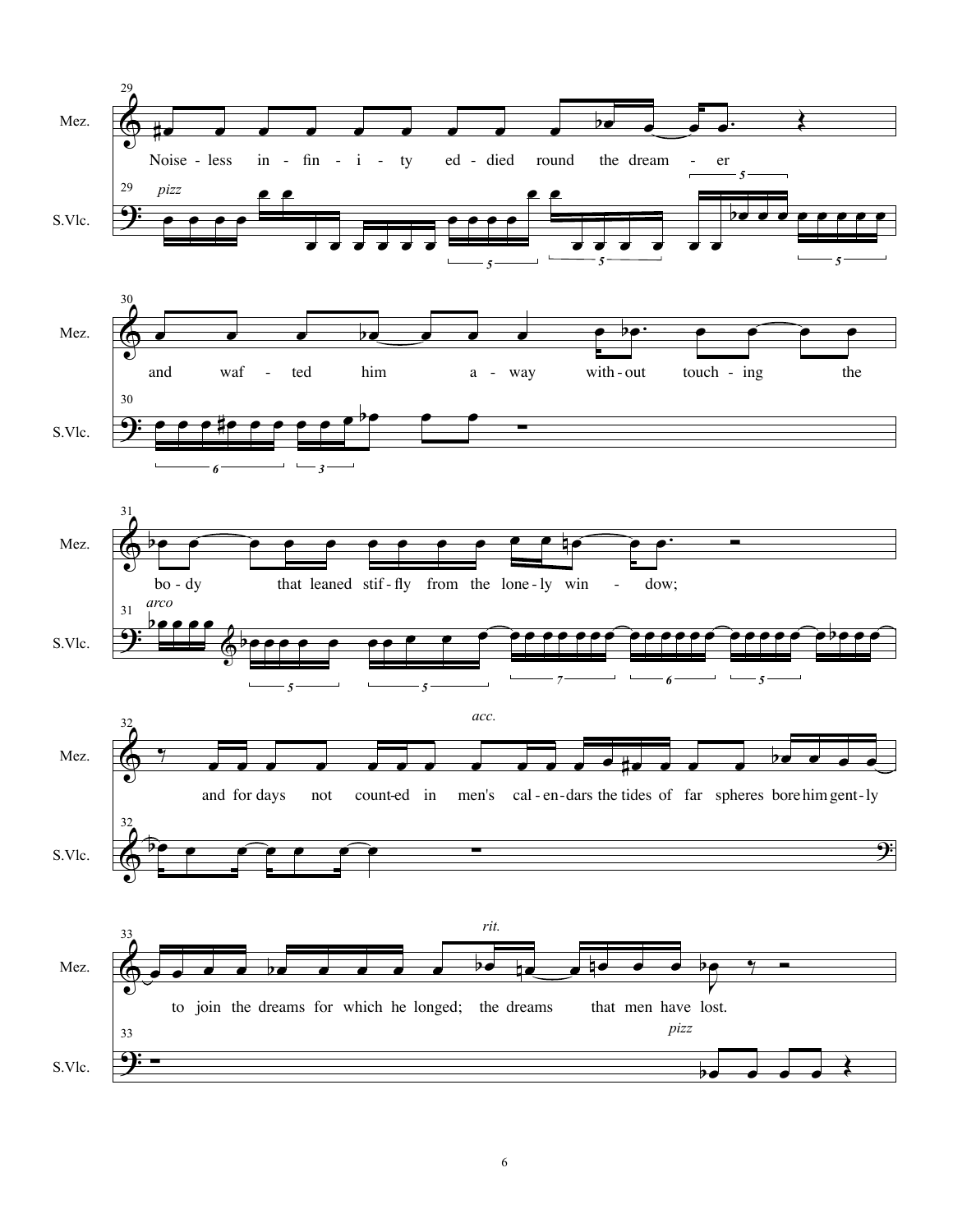